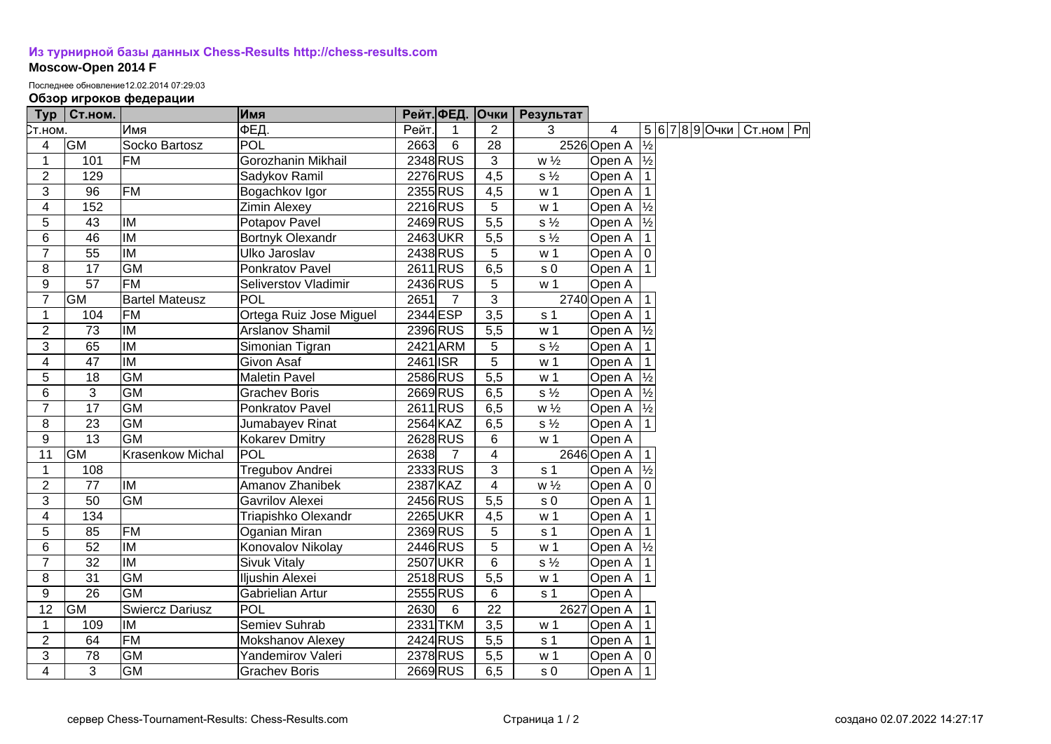## **[Из турнирной базы данных Chess-Results http://chess-results.com](http://chess-results.com/) Moscow-Open 2014 F**

Последнее обновление12.02.2014 07:29:03

## **Обзор игроков федерации**

| Typ             | Ст.ном.         |                          | Имя                     |          |                | Рейт. ФЕД. Очки  | Результат      |                      |               |                |             |  |
|-----------------|-----------------|--------------------------|-------------------------|----------|----------------|------------------|----------------|----------------------|---------------|----------------|-------------|--|
| Ст.ном.         |                 | Имя                      | ФЕД.                    | Рейт.    | 1              | $\overline{2}$   | 3              | 4                    |               | 5 6 7 8 9 Очки | Ст.ном   Рп |  |
| 4               | <b>GM</b>       | Socko Bartosz            | <b>POL</b>              | 2663     | 6              | $\overline{28}$  |                | 2526 Open A          | $\frac{1}{2}$ |                |             |  |
| $\mathbf{1}$    | 101             | <b>FM</b>                | Gorozhanin Mikhail      |          | 2348 RUS       | $\overline{3}$   | $w\frac{1}{2}$ | Open A $\frac{1}{2}$ |               |                |             |  |
| $\overline{2}$  | 129             |                          | Sadykov Ramil           |          | 2276 RUS       | $\overline{4,5}$ | $s\frac{1}{2}$ | Open A               |               |                |             |  |
| 3               | 96              | <b>FM</b>                | Bogachkov Igor          |          | 2355 RUS       | 4,5              | w <sub>1</sub> | Open A               |               |                |             |  |
| 4               | 152             |                          | <b>Zimin Alexey</b>     |          | 2216 RUS       | 5                | w <sub>1</sub> | Open A               | $\frac{1}{2}$ |                |             |  |
| 5               | $\overline{43}$ | IM                       | Potapov Pavel           |          | 2469 RUS       | 5,5              | $s\frac{1}{2}$ | Open A               | $\frac{1}{2}$ |                |             |  |
| 6               | $\overline{46}$ | $\overline{M}$           | Bortnyk Olexandr        |          | 2463UKR        | 5,5              | $s\frac{1}{2}$ | Open A               |               |                |             |  |
| $\overline{7}$  | 55              | <b>IM</b>                | Ulko Jaroslav           |          | 2438 RUS       | 5                | w <sub>1</sub> | Open A   0           |               |                |             |  |
| 8               | 17              | <b>GM</b>                | Ponkratov Pavel         |          | 2611 RUS       | 6,5              | s <sub>0</sub> | Open A   1           |               |                |             |  |
| $9$             | 57              | FM                       | Seliverstov Vladimir    |          | 2436 RUS       | 5                | w <sub>1</sub> | Open A               |               |                |             |  |
| $\overline{7}$  | GM              | <b>Bartel Mateusz</b>    | POL                     | 2651     | $\overline{7}$ | 3                |                | 2740 Open A          |               |                |             |  |
| 1               | 104             | <b>FM</b>                | Ortega Ruiz Jose Miguel | 2344 ESP |                | 3,5              | s <sub>1</sub> | Open A               |               |                |             |  |
| $\overline{2}$  | 73              | IM                       | Arslanov Shamil         |          | 2396 RUS       | 5,5              | w <sub>1</sub> | Open A $\frac{1}{2}$ |               |                |             |  |
| 3               | 65              | IM                       | Simonian Tigran         |          | 2421 ARM       | 5                | $s\frac{1}{2}$ | Open A               |               |                |             |  |
| 4               | 47              | IM                       | Givon Asaf              | 2461 ISR |                | 5                | w <sub>1</sub> | Open A               |               |                |             |  |
| 5               | 18              | <b>GM</b>                | <b>Maletin Pavel</b>    |          | 2586 RUS       | $\overline{5,5}$ | w <sub>1</sub> | Open A $\frac{1}{2}$ |               |                |             |  |
| 6               | 3               | <b>GM</b>                | <b>Grachev Boris</b>    |          | 2669RUS        | 6,5              | $s\frac{1}{2}$ | Open A $\frac{1}{2}$ |               |                |             |  |
| $\overline{7}$  | 17              | <b>GM</b>                | Ponkratov Pavel         |          | 2611 RUS       | 6,5              | $w\frac{1}{2}$ | Open A  ½            |               |                |             |  |
| 8               | 23              | <b>GM</b>                | Jumabayev Rinat         | 2564 KAZ |                | 6,5              | $s\frac{1}{2}$ | Open A               | $\vert$ 1     |                |             |  |
| 9               | 13              | <b>GM</b>                | Kokarev Dmitry          |          | 2628 RUS       | 6                | w <sub>1</sub> | Open A               |               |                |             |  |
| 11              | GM              | <b>Krasenkow Michal</b>  | POL                     | 2638     | $\overline{7}$ | 4                |                | 2646 Open A          |               |                |             |  |
| $\mathbf{1}$    | 108             |                          | Tregubov Andrei         |          | 2333 RUS       | 3                | s <sub>1</sub> | Open A               | $\frac{1}{2}$ |                |             |  |
| $\overline{2}$  | 77              | <b>IM</b>                | Amanov Zhanibek         | 2387 KAZ |                | 4                | $w\frac{1}{2}$ | Open A               | ۱o            |                |             |  |
| $\overline{3}$  | 50              | <b>GM</b>                | Gavrilov Alexei         |          | 2456 RUS       | 5,5              | s <sub>0</sub> | Open A               |               |                |             |  |
| $\overline{4}$  | 134             |                          | Triapishko Olexandr     |          | 2265UKR        | 4,5              | w <sub>1</sub> | Open A               |               |                |             |  |
| 5               | 85              | FM                       | Oganian Miran           |          | 2369 RUS       | 5                | s <sub>1</sub> | Open A               |               |                |             |  |
| 6               | 52              | <b>IM</b>                | Konovalov Nikolay       |          | 2446 RUS       | 5                | w <sub>1</sub> | Open A $\frac{1}{2}$ |               |                |             |  |
| $\overline{7}$  | $\overline{32}$ | $\overline{\mathsf{IM}}$ | <b>Sivuk Vitaly</b>     |          | 2507 UKR       | $6\phantom{1}6$  | $s\frac{1}{2}$ | Open A               |               |                |             |  |
| $\overline{8}$  | $\overline{31}$ | $\overline{GM}$          | Iljushin Alexei         |          | 2518RUS        | $\overline{5,5}$ | w <sub>1</sub> | Open A   1           |               |                |             |  |
| 9               | $\overline{26}$ | GM                       | Gabrielian Artur        |          | 2555 RUS       | 6                | s <sub>1</sub> | Open A               |               |                |             |  |
| $\overline{12}$ | <b>GM</b>       | <b>Swiercz Dariusz</b>   | POL                     | 2630     | 6              | 22               |                | 2627 Open A          |               |                |             |  |
| 1               | 109             | IM                       | Semiev Suhrab           |          | 2331 TKM       | 3,5              | w <sub>1</sub> | Open A               |               |                |             |  |
| $\overline{2}$  | 64              | <b>FM</b>                | Mokshanov Alexey        |          | 2424 RUS       | 5,5              | s <sub>1</sub> | Open A               |               |                |             |  |
| 3               | 78              | $\overline{GM}$          | Yandemirov Valeri       |          | 2378 RUS       | $\overline{5,5}$ | w <sub>1</sub> | Open A               |               |                |             |  |
| $\overline{4}$  | 3               | GM                       | <b>Grachev Boris</b>    |          | 2669 RUS       | 6,5              | s <sub>0</sub> | Open A 11            |               |                |             |  |